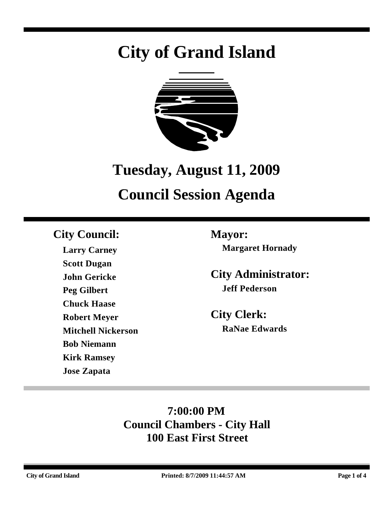# **City of Grand Island**



# **Tuesday, August 11, 2009**

## **Council Session Agenda**

### **City Council: Mayor:**

**Larry Carney Scott Dugan John Gericke Peg Gilbert Chuck Haase Robert Meyer Mitchell Nickerson Bob Niemann Kirk Ramsey Jose Zapata**

**Margaret Hornady**

**City Administrator: Jeff Pederson**

**City Clerk: RaNae Edwards**

### **7:00:00 PM Council Chambers - City Hall 100 East First Street**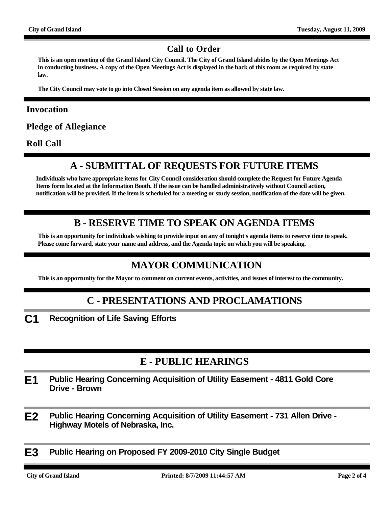#### **Call to Order**

**This is an open meeting of the Grand Island City Council. The City of Grand Island abides by the Open Meetings Act in conducting business. A copy of the Open Meetings Act is displayed in the back of this room as required by state law.**

**The City Council may vote to go into Closed Session on any agenda item as allowed by state law.**

#### **Invocation**

**Pledge of Allegiance**

**Roll Call**

#### **A - SUBMITTAL OF REQUESTS FOR FUTURE ITEMS**

**Individuals who have appropriate items for City Council consideration should complete the Request for Future Agenda Items form located at the Information Booth. If the issue can be handled administratively without Council action, notification will be provided. If the item is scheduled for a meeting or study session, notification of the date will be given.**

#### **B - RESERVE TIME TO SPEAK ON AGENDA ITEMS**

**This is an opportunity for individuals wishing to provide input on any of tonight's agenda items to reserve time to speak. Please come forward, state your name and address, and the Agenda topic on which you will be speaking.**

#### **MAYOR COMMUNICATION**

**This is an opportunity for the Mayor to comment on current events, activities, and issues of interest to the community.**

#### **C - PRESENTATIONS AND PROCLAMATIONS**

**C1 Recognition of Life Saving Efforts**

#### **E - PUBLIC HEARINGS**

- **E1 Public Hearing Concerning Acquisition of Utility Easement 4811 Gold Core Drive - Brown**
- **E2 Public Hearing Concerning Acquisition of Utility Easement 731 Allen Drive Highway Motels of Nebraska, Inc.**
- **E3 Public Hearing on Proposed FY 2009-2010 City Single Budget**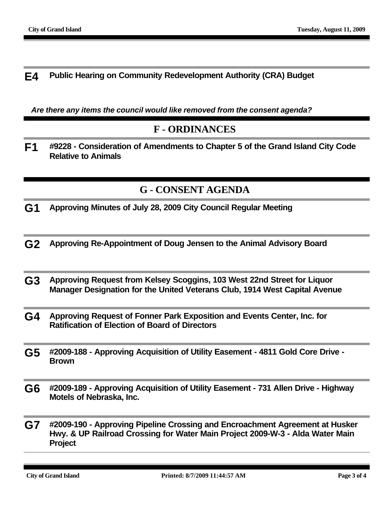**E4 Public Hearing on Community Redevelopment Authority (CRA) Budget**

*Are there any items the council would like removed from the consent agenda?*

#### **F - ORDINANCES**

**F1 #9228 - Consideration of Amendments to Chapter 5 of the Grand Island City Code Relative to Animals**

#### **G - CONSENT AGENDA**

- **G1 Approving Minutes of July 28, 2009 City Council Regular Meeting**
- **G2 Approving Re-Appointment of Doug Jensen to the Animal Advisory Board**
- **G3 Approving Request from Kelsey Scoggins, 103 West 22nd Street for Liquor Manager Designation for the United Veterans Club, 1914 West Capital Avenue**
- **G4 Approving Request of Fonner Park Exposition and Events Center, Inc. for Ratification of Election of Board of Directors**
- **G5 #2009-188 Approving Acquisition of Utility Easement 4811 Gold Core Drive Brown**
- **G6 #2009-189 Approving Acquisition of Utility Easement 731 Allen Drive Highway Motels of Nebraska, Inc.**
- **G7 #2009-190 Approving Pipeline Crossing and Encroachment Agreement at Husker Hwy. & UP Railroad Crossing for Water Main Project 2009-W-3 - Alda Water Main Project**